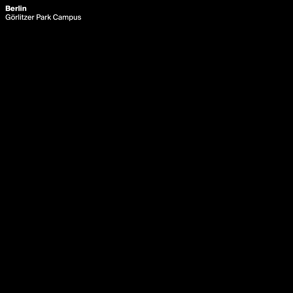# **Berlin** Görlitzer Park Campus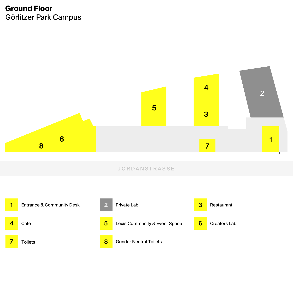## **Ground Floor** Görlitzer Park Campus



**8**

6



1

 $\overline{\mathbf{7}}$ 

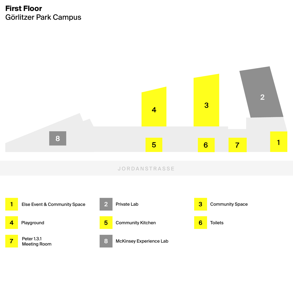## **First Floor** Görlitzer Park Campus



**1**

Else Event & Community Space

**4** Playground

**7** Peter 1.3.1 Meeting Room





#### $\overline{6}$  $\overline{\mathbf{7}}$

1

#### JORDANSTRASSE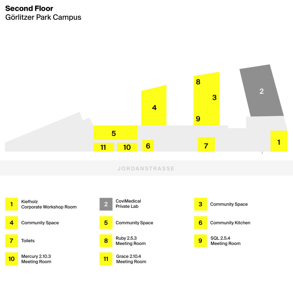## **Second Floor** Görlitzer Park Campus

**8** Ruby 2.5.3 Toilets **8 Meeting Room** 



**10** Meeting Room Mercury 2.10.3 SQL 2.5.4 Meeting Room



**Toilets** 

Grace 2.10.4 Meeting Room **11**

**5**



**3** Community Space

Community Space **Community Space** Community Space **Community Community Kitchen** 



#### JORDANSTRASSE

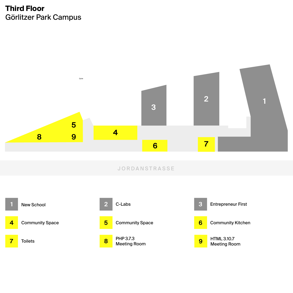### **Third Floor** Görlitzer Park Campus

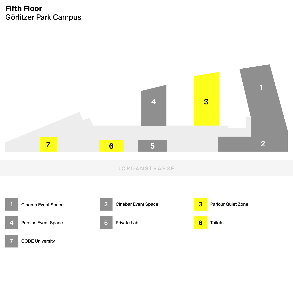## **Fifth Floor** Görlitzer Park Campus





**6 Toilets** 

Persius Event Space



Cinebar Event Space











#### JORDANSTRASSE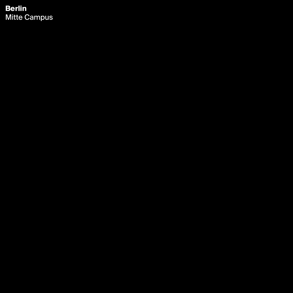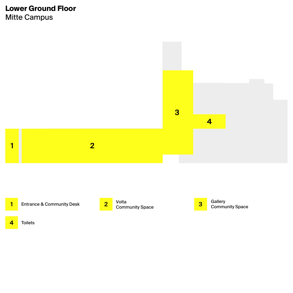## **Lower Ground Floor** Mitte Campus





 $\overline{\mathbf{2}}$ 

**1** Entrance & Community Desk



 $\blacksquare$